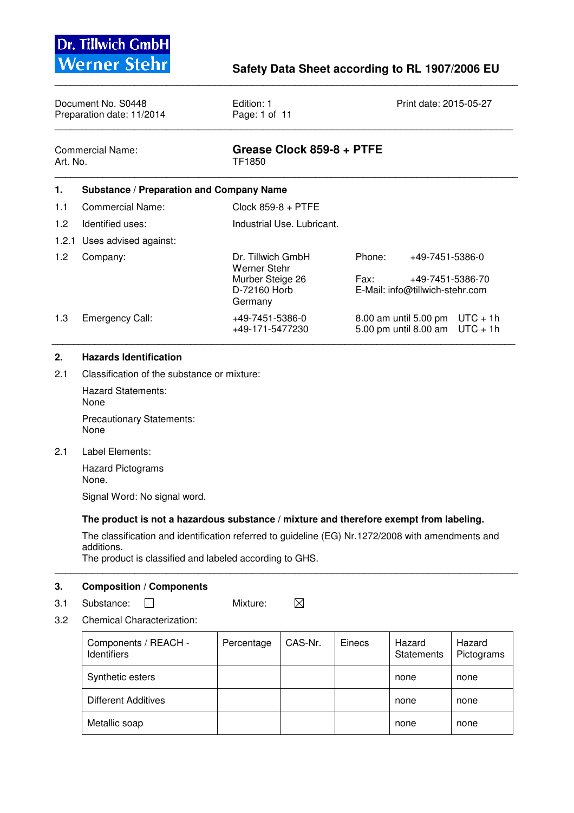| Document No. S0448<br>Preparation date: 11/2014 |                                                 | Edition: 1<br>Page: 1 of 11                           |                |                                     |  |
|-------------------------------------------------|-------------------------------------------------|-------------------------------------------------------|----------------|-------------------------------------|--|
| Commercial Name:<br>Art. No.                    |                                                 | Grease Clock 859-8 + PTFE<br>TF1850                   |                |                                     |  |
| 1.                                              | <b>Substance / Preparation and Company Name</b> |                                                       |                |                                     |  |
| 1.1                                             | Commercial Name:                                | Clock $859-8 + PTFE$                                  |                |                                     |  |
| 1.2                                             | Identified uses:                                | Industrial Use, Lubricant.                            |                |                                     |  |
|                                                 | 1.2.1 Uses advised against:                     |                                                       |                |                                     |  |
| 1.2                                             | Company:                                        | Dr. Tillwich GmbH<br>Werner Stehr<br>Murber Steige 26 | Phone:<br>Fax: | +49-7451-5386-0<br>+49-7451-5386-70 |  |

\_\_\_\_\_\_\_\_\_\_\_\_\_\_\_\_\_\_\_\_\_\_\_\_\_\_\_\_\_\_\_\_\_\_\_\_\_\_\_\_\_\_\_\_\_\_\_\_\_\_\_\_\_\_\_\_\_\_\_\_\_\_\_\_\_\_\_\_\_\_\_\_\_\_\_\_\_\_\_\_\_\_\_\_\_\_\_

|     |                 | Murber Steige 26<br>D-72160 Horb<br>Germany | Fax:<br>+49-7451-5386-70<br>E-Mail: info@tillwich-stehr.com |  |
|-----|-----------------|---------------------------------------------|-------------------------------------------------------------|--|
| 1.3 | Emergency Call: | +49-7451-5386-0                             | 8.00 am until 5.00 pm $UTC + 1h$                            |  |
|     |                 | +49-171-5477230                             | 5.00 pm until 8.00 am $UTC + 1h$                            |  |

\_\_\_\_\_\_\_\_\_\_\_\_\_\_\_\_\_\_\_\_\_\_\_\_\_\_\_\_\_\_\_\_\_\_\_\_\_\_\_\_\_\_\_\_\_\_\_\_\_\_\_\_\_\_\_\_\_\_\_\_\_\_\_\_\_\_\_\_\_\_\_\_\_\_\_\_\_\_\_\_\_\_\_\_\_\_\_

## **2. Hazards Identification**

2.1 Classification of the substance or mixture:

 Hazard Statements: None Precautionary Statements:

None

2.1 Label Elements:

 Hazard Pictograms None.

Signal Word: No signal word.

### **The product is not a hazardous substance / mixture and therefore exempt from labeling.**

 The classification and identification referred to guideline (EG) Nr.1272/2008 with amendments and additions.

\_\_\_\_\_\_\_\_\_\_\_\_\_\_\_\_\_\_\_\_\_\_\_\_\_\_\_\_\_\_\_\_\_\_\_\_\_\_\_\_\_\_\_\_\_\_\_\_\_\_\_\_\_\_\_\_\_\_\_\_\_\_\_\_\_\_\_\_\_\_\_\_\_\_\_\_\_\_\_\_\_\_\_\_\_\_\_

The product is classified and labeled according to GHS.

#### **3. Composition / Components**

3.1 Substance: **O** Mixture:  $\boxtimes$ 

3.2 Chemical Characterization:

| Components / REACH -<br><b>Identifiers</b> | Percentage | CAS-Nr. | Einecs | Hazard<br><b>Statements</b> | Hazard<br>Pictograms |
|--------------------------------------------|------------|---------|--------|-----------------------------|----------------------|
| Synthetic esters                           |            |         |        | none                        | none                 |
| <b>Different Additives</b>                 |            |         |        | none                        | none                 |
| Metallic soap                              |            |         |        | none                        | none                 |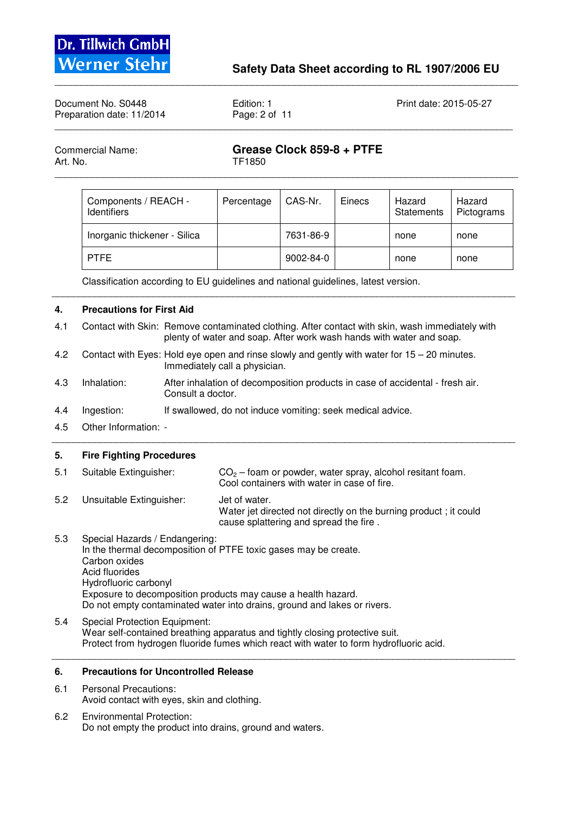

| Document No. S0448<br>Preparation date: 11/2014 |                                            | Edition: 1<br>Page: 2 of 11 |                           |        | Print date: 2015-05-27      |                      |  |
|-------------------------------------------------|--------------------------------------------|-----------------------------|---------------------------|--------|-----------------------------|----------------------|--|
| <b>Commercial Name:</b><br>Art. No.             |                                            | TF1850                      | Grease Clock 859-8 + PTFE |        |                             |                      |  |
|                                                 | Components / REACH -<br><b>Identifiers</b> | Percentage                  | CAS-Nr.                   | Einecs | Hazard<br><b>Statements</b> | Hazard<br>Pictograms |  |

\_\_\_\_\_\_\_\_\_\_\_\_\_\_\_\_\_\_\_\_\_\_\_\_\_\_\_\_\_\_\_\_\_\_\_\_\_\_\_\_\_\_\_\_\_\_\_\_\_\_\_\_\_\_\_\_\_\_\_\_\_\_\_\_\_\_\_\_\_\_\_\_\_\_\_\_\_\_\_\_\_\_\_\_\_\_\_

Inorganic thickener - Silica | 7631-86-9 | none | none PTFE 2002-84-0 | 9002-84-0 | 9002-84-0 | 2002-84-0 | 2002-84-0 | 2010

Classification according to EU guidelines and national guidelines, latest version.

#### **4. Precautions for First Aid**

4.1 Contact with Skin: Remove contaminated clothing. After contact with skin, wash immediately with plenty of water and soap. After work wash hands with water and soap.

\_\_\_\_\_\_\_\_\_\_\_\_\_\_\_\_\_\_\_\_\_\_\_\_\_\_\_\_\_\_\_\_\_\_\_\_\_\_\_\_\_\_\_\_\_\_\_\_\_\_\_\_\_\_\_\_\_\_\_\_\_\_\_\_\_\_\_\_\_\_\_\_\_\_\_\_\_\_\_\_\_\_\_\_\_\_\_

- 4.2 Contact with Eyes: Hold eye open and rinse slowly and gently with water for 15 20 minutes. Immediately call a physician.
- 4.3 Inhalation: After inhalation of decomposition products in case of accidental fresh air. Consult a doctor.

\_\_\_\_\_\_\_\_\_\_\_\_\_\_\_\_\_\_\_\_\_\_\_\_\_\_\_\_\_\_\_\_\_\_\_\_\_\_\_\_\_\_\_\_\_\_\_\_\_\_\_\_\_\_\_\_\_\_\_\_\_\_\_\_\_\_\_\_\_\_\_\_\_\_\_\_\_\_\_\_\_\_\_\_\_\_\_

- 4.4 Ingestion: If swallowed, do not induce vomiting: seek medical advice.
- 4.5 Other Information: -

#### **5. Fire Fighting Procedures**

| 5.1 | Suitable Extinguisher:   | $CO2$ – foam or powder, water spray, alcohol resitant foam.<br>Cool containers with water in case of fire.                  |
|-----|--------------------------|-----------------------------------------------------------------------------------------------------------------------------|
| 5.2 | Unsuitable Extinguisher: | Jet of water.<br>Water jet directed not directly on the burning product; it could<br>cause splattering and spread the fire. |

- 5.3 Special Hazards / Endangering: In the thermal decomposition of PTFE toxic gases may be create. Carbon oxides Acid fluorides Hydrofluoric carbonyl Exposure to decomposition products may cause a health hazard. Do not empty contaminated water into drains, ground and lakes or rivers.
- 5.4 Special Protection Equipment: Wear self-contained breathing apparatus and tightly closing protective suit. Protect from hydrogen fluoride fumes which react with water to form hydrofluoric acid. \_\_\_\_\_\_\_\_\_\_\_\_\_\_\_\_\_\_\_\_\_\_\_\_\_\_\_\_\_\_\_\_\_\_\_\_\_\_\_\_\_\_\_\_\_\_\_\_\_\_\_\_\_\_\_\_\_\_\_\_\_\_\_\_\_\_\_\_\_\_\_\_\_\_\_\_\_\_\_\_\_\_\_\_\_\_\_

#### **6. Precautions for Uncontrolled Release**

- 6.1 Personal Precautions: Avoid contact with eyes, skin and clothing.
- 6.2 Environmental Protection: Do not empty the product into drains, ground and waters.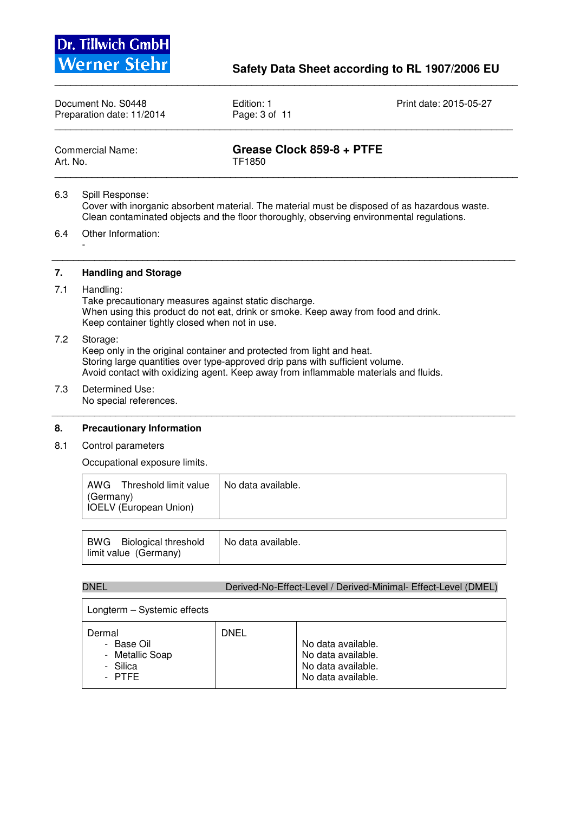

Document No. S0448 **Edition: 1** Edition: 1 Print date: 2015-05-27<br>Preparation date: 11/2014 **Page: 3 of 11** Preparation date: 11/2014 \_\_\_\_\_\_\_\_\_\_\_\_\_\_\_\_\_\_\_\_\_\_\_\_\_\_\_\_\_\_\_\_\_\_\_\_\_\_\_\_\_\_\_\_\_\_\_\_\_\_\_\_\_\_\_\_\_\_\_\_\_\_\_\_\_\_\_\_\_\_\_\_\_\_\_\_\_\_\_\_\_\_\_\_\_\_

\_\_\_\_\_\_\_\_\_\_\_\_\_\_\_\_\_\_\_\_\_\_\_\_\_\_\_\_\_\_\_\_\_\_\_\_\_\_\_\_\_\_\_\_\_\_\_\_\_\_\_\_\_\_\_\_\_\_\_\_\_\_\_\_\_\_\_\_\_\_\_\_\_\_\_\_\_\_\_\_\_\_\_\_\_\_\_

| Commercial Name: |  |
|------------------|--|
| Art. No.         |  |

Grease Clock 859-8 + PTFE

TF1850 \_\_\_\_\_\_\_\_\_\_\_\_\_\_\_\_\_\_\_\_\_\_\_\_\_\_\_\_\_\_\_\_\_\_\_\_\_\_\_\_\_\_\_\_\_\_\_\_\_\_\_\_\_\_\_\_\_\_\_\_\_\_\_\_\_\_\_\_\_\_\_\_\_\_\_\_\_\_\_\_\_\_\_\_\_\_\_

6.3 Spill Response: Cover with inorganic absorbent material. The material must be disposed of as hazardous waste. Clean contaminated objects and the floor thoroughly, observing environmental regulations.

\_\_\_\_\_\_\_\_\_\_\_\_\_\_\_\_\_\_\_\_\_\_\_\_\_\_\_\_\_\_\_\_\_\_\_\_\_\_\_\_\_\_\_\_\_\_\_\_\_\_\_\_\_\_\_\_\_\_\_\_\_\_\_\_\_\_\_\_\_\_\_\_\_\_\_\_\_\_\_\_\_\_\_\_\_\_\_

6.4 Other Information:

**7. Handling and Storage** 

7.1 Handling:

-

 Take precautionary measures against static discharge. When using this product do not eat, drink or smoke. Keep away from food and drink. Keep container tightly closed when not in use.

#### 7.2 Storage:

 Keep only in the original container and protected from light and heat. Storing large quantities over type-approved drip pans with sufficient volume. Avoid contact with oxidizing agent. Keep away from inflammable materials and fluids.

7.3 Determined Use: No special references.

\_\_\_\_\_\_\_\_\_\_\_\_\_\_\_\_\_\_\_\_\_\_\_\_\_\_\_\_\_\_\_\_\_\_\_\_\_\_\_\_\_\_\_\_\_\_\_\_\_\_\_\_\_\_\_\_\_\_\_\_\_\_\_\_\_\_\_\_\_\_\_\_\_\_\_\_\_\_\_\_\_\_\_\_\_\_\_

# **8. Precautionary Information**

8.1 Control parameters

Occupational exposure limits.

| AWG<br>Threshold limit value<br>(Germany)<br><b>IOELV</b> (European Union) | No data available. |
|----------------------------------------------------------------------------|--------------------|
|                                                                            |                    |
| -----                                                                      | .                  |

| BWG Biological threshold | No data available. |
|--------------------------|--------------------|
| limit value (Germany)    |                    |

|  |  | DNEL | Derived-No-Effect-Level / Derived-Minimal- Effect-Level (DMEL) |  |
|--|--|------|----------------------------------------------------------------|--|
|--|--|------|----------------------------------------------------------------|--|

| Longterm - Systemic effects                                                             |      |                                                                                      |
|-----------------------------------------------------------------------------------------|------|--------------------------------------------------------------------------------------|
| Dermal<br>Base Oil<br>$\overline{\phantom{0}}$<br>- Metallic Soap<br>- Silica<br>- PTFF | DNEL | No data available.<br>No data available.<br>No data available.<br>No data available. |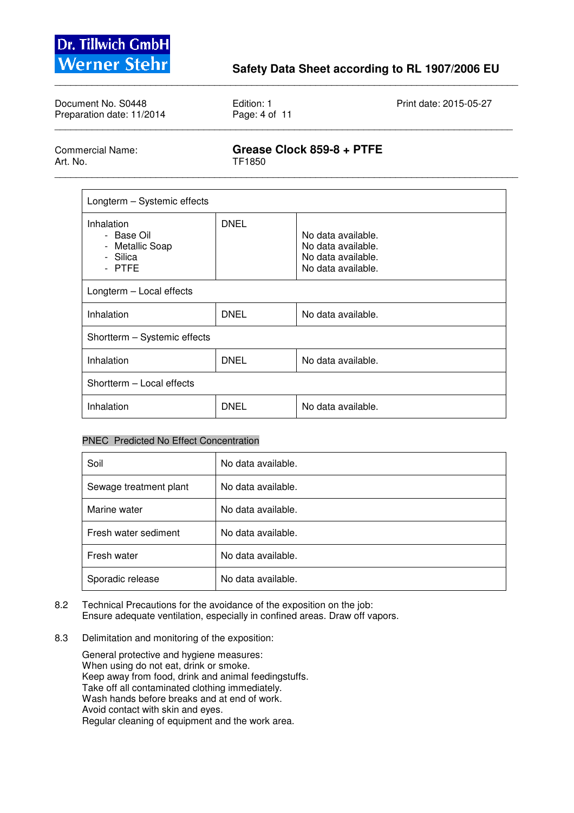

| Document No. S0448<br>Preparation date: 11/2014 | Edition: 1<br>Page: 4 of 11 | Print date: 2015-05-27 |
|-------------------------------------------------|-----------------------------|------------------------|
|                                                 |                             |                        |

\_\_\_\_\_\_\_\_\_\_\_\_\_\_\_\_\_\_\_\_\_\_\_\_\_\_\_\_\_\_\_\_\_\_\_\_\_\_\_\_\_\_\_\_\_\_\_\_\_\_\_\_\_\_\_\_\_\_\_\_\_\_\_\_\_\_\_\_\_\_\_\_\_\_\_\_\_\_\_\_\_\_\_\_\_\_\_

Commercial Name: **Grease Clock 859-8 + PTFE**  TF1850

\_\_\_\_\_\_\_\_\_\_\_\_\_\_\_\_\_\_\_\_\_\_\_\_\_\_\_\_\_\_\_\_\_\_\_\_\_\_\_\_\_\_\_\_\_\_\_\_\_\_\_\_\_\_\_\_\_\_\_\_\_\_\_\_\_\_\_\_\_\_\_\_\_\_\_\_\_\_\_\_\_\_\_\_\_\_\_

| Longterm - Systemic effects                                       |             |                                                                                      |  |  |
|-------------------------------------------------------------------|-------------|--------------------------------------------------------------------------------------|--|--|
| Inhalation<br>- Base Oil<br>- Metallic Soap<br>- Silica<br>- PTFE | <b>DNEL</b> | No data available.<br>No data available.<br>No data available.<br>No data available. |  |  |
| Longterm - Local effects                                          |             |                                                                                      |  |  |
| Inhalation                                                        | DNEL        | No data available.                                                                   |  |  |
| Shortterm - Systemic effects                                      |             |                                                                                      |  |  |
| Inhalation                                                        | <b>DNEL</b> | No data available.                                                                   |  |  |
| Shortterm - Local effects                                         |             |                                                                                      |  |  |
| Inhalation                                                        | DNEL        | No data available.                                                                   |  |  |

### PNEC Predicted No Effect Concentration

| Soil                   | No data available. |
|------------------------|--------------------|
| Sewage treatment plant | No data available. |
| Marine water           | No data available. |
| Fresh water sediment   | No data available. |
| Fresh water            | No data available. |
| Sporadic release       | No data available. |

- 8.2 Technical Precautions for the avoidance of the exposition on the job: Ensure adequate ventilation, especially in confined areas. Draw off vapors.
- 8.3 Delimitation and monitoring of the exposition:

 General protective and hygiene measures: When using do not eat, drink or smoke. Keep away from food, drink and animal feedingstuffs. Take off all contaminated clothing immediately. Wash hands before breaks and at end of work. Avoid contact with skin and eyes. Regular cleaning of equipment and the work area.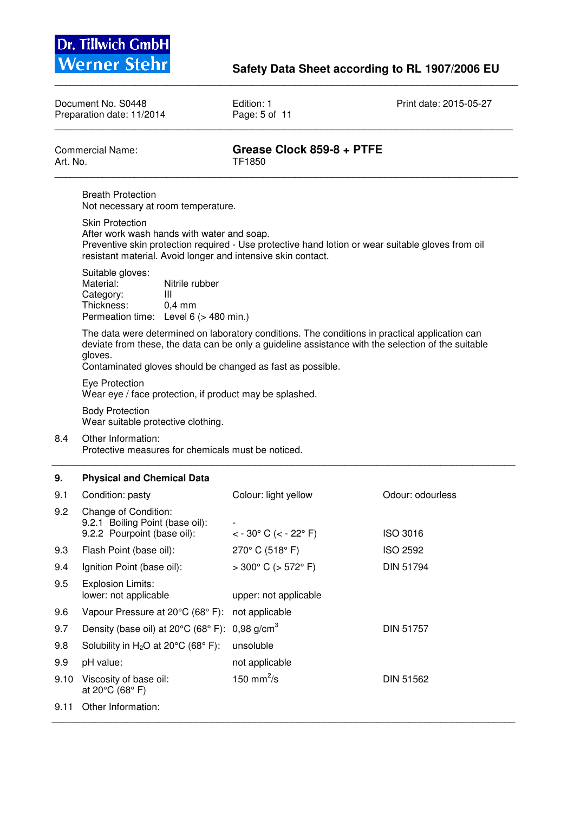

Document No. S0448 **Edition: 1** Edition: 1 Print date: 2015-05-27 Preparation date: 11/2014 **Print date: 2015-05-27** Preparation date: 11/2014 \_\_\_\_\_\_\_\_\_\_\_\_\_\_\_\_\_\_\_\_\_\_\_\_\_\_\_\_\_\_\_\_\_\_\_\_\_\_\_\_\_\_\_\_\_\_\_\_\_\_\_\_\_\_\_\_\_\_\_\_\_\_\_\_\_\_\_\_\_\_\_\_\_\_\_\_\_\_\_\_\_\_\_\_\_\_

\_\_\_\_\_\_\_\_\_\_\_\_\_\_\_\_\_\_\_\_\_\_\_\_\_\_\_\_\_\_\_\_\_\_\_\_\_\_\_\_\_\_\_\_\_\_\_\_\_\_\_\_\_\_\_\_\_\_\_\_\_\_\_\_\_\_\_\_\_\_\_\_\_\_\_\_\_\_\_\_\_\_\_\_\_\_\_

| Art. No. | <b>Commercial Name:</b>                                                                                                                                                                                                                                                       | Grease Clock 859-8 + PTFE<br>TF1850                                                               |                  |
|----------|-------------------------------------------------------------------------------------------------------------------------------------------------------------------------------------------------------------------------------------------------------------------------------|---------------------------------------------------------------------------------------------------|------------------|
|          | <b>Breath Protection</b><br>Not necessary at room temperature.                                                                                                                                                                                                                |                                                                                                   |                  |
|          | <b>Skin Protection</b><br>After work wash hands with water and soap.<br>resistant material. Avoid longer and intensive skin contact.                                                                                                                                          | Preventive skin protection required - Use protective hand lotion or wear suitable gloves from oil |                  |
|          | Suitable gloves:<br>Material:<br>Nitrile rubber<br>Category:<br>Ш<br>Thickness:<br>$0,4$ mm<br>Permeation time: Level 6 (> 480 min.)                                                                                                                                          |                                                                                                   |                  |
|          | The data were determined on laboratory conditions. The conditions in practical application can<br>deviate from these, the data can be only a guideline assistance with the selection of the suitable<br>gloves.<br>Contaminated gloves should be changed as fast as possible. |                                                                                                   |                  |
|          | Eye Protection<br>Wear eye / face protection, if product may be splashed.                                                                                                                                                                                                     |                                                                                                   |                  |
|          | <b>Body Protection</b><br>Wear suitable protective clothing.                                                                                                                                                                                                                  |                                                                                                   |                  |
| 8.4      | Other Information:<br>Protective measures for chemicals must be noticed.                                                                                                                                                                                                      |                                                                                                   |                  |
| 9.       | <b>Physical and Chemical Data</b>                                                                                                                                                                                                                                             |                                                                                                   |                  |
| 9.1      | Condition: pasty                                                                                                                                                                                                                                                              | Colour: light yellow                                                                              | Odour: odourless |
| 9.2      | Change of Condition:<br>9.2.1 Boiling Point (base oil):<br>9.2.2 Pourpoint (base oil):                                                                                                                                                                                        | $<$ - 30 $^{\circ}$ C ( $<$ - 22 $^{\circ}$ F)                                                    | <b>ISO 3016</b>  |
| 9.3      | Flash Point (base oil):                                                                                                                                                                                                                                                       | 270° C (518° F)                                                                                   | <b>ISO 2592</b>  |
| 9.4      | Ignition Point (base oil):                                                                                                                                                                                                                                                    | $>300^{\circ}$ C ( $>572^{\circ}$ F)                                                              | <b>DIN 51794</b> |
| 9.5      | <b>Explosion Limits:</b><br>lower: not applicable                                                                                                                                                                                                                             | upper: not applicable                                                                             |                  |
| 9.6      | Vapour Pressure at 20°C (68° F):                                                                                                                                                                                                                                              | not applicable                                                                                    |                  |
| 9.7      | Density (base oil) at 20°C (68°F):                                                                                                                                                                                                                                            | 0,98 $g/cm^{3}$                                                                                   | DIN 51757        |
| 9.8      | Solubility in $H_2O$ at 20 $°C$ (68 $°C$ F):                                                                                                                                                                                                                                  | unsoluble                                                                                         |                  |
| 9.9      | pH value:                                                                                                                                                                                                                                                                     | not applicable                                                                                    |                  |
| 9.10     | Viscosity of base oil:<br>at 20°C (68°F)                                                                                                                                                                                                                                      | 150 mm <sup>2</sup> /s                                                                            | DIN 51562        |
| 9.11     | Other Information:                                                                                                                                                                                                                                                            |                                                                                                   |                  |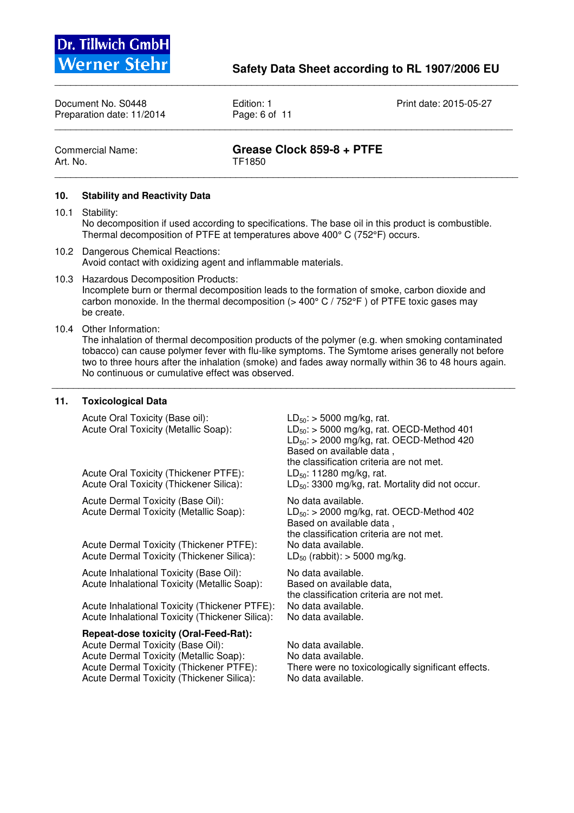

Document No. S0448 **Edition: 1** Edition: 1 Print date: 2015-05-27 Preparation date: 11/2014 Page: 6 of 11 \_\_\_\_\_\_\_\_\_\_\_\_\_\_\_\_\_\_\_\_\_\_\_\_\_\_\_\_\_\_\_\_\_\_\_\_\_\_\_\_\_\_\_\_\_\_\_\_\_\_\_\_\_\_\_\_\_\_\_\_\_\_\_\_\_\_\_\_\_\_\_\_\_\_\_\_\_\_\_\_\_\_\_\_\_\_

\_\_\_\_\_\_\_\_\_\_\_\_\_\_\_\_\_\_\_\_\_\_\_\_\_\_\_\_\_\_\_\_\_\_\_\_\_\_\_\_\_\_\_\_\_\_\_\_\_\_\_\_\_\_\_\_\_\_\_\_\_\_\_\_\_\_\_\_\_\_\_\_\_\_\_\_\_\_\_\_\_\_\_\_\_\_\_

Art. No. TF1850 \_\_\_\_\_\_\_\_\_\_\_\_\_\_\_\_\_\_\_\_\_\_\_\_\_\_\_\_\_\_\_\_\_\_\_\_\_\_\_\_\_\_\_\_\_\_\_\_\_\_\_\_\_\_\_\_\_\_\_\_\_\_\_\_\_\_\_\_\_\_\_\_\_\_\_\_\_\_\_\_\_\_\_\_\_\_\_

# Commercial Name: **Grease Clock 859-8 + PTFE**

### **10. Stability and Reactivity Data**

- 10.1 Stability: No decomposition if used according to specifications. The base oil in this product is combustible. Thermal decomposition of PTFE at temperatures above 400° C (752°F) occurs.
- 10.2 Dangerous Chemical Reactions: Avoid contact with oxidizing agent and inflammable materials.
- 10.3 Hazardous Decomposition Products: Incomplete burn or thermal decomposition leads to the formation of smoke, carbon dioxide and carbon monoxide. In the thermal decomposition  $(> 400^{\circ}$  C  $/ 752^{\circ}$ F) of PTFE toxic gases may be create.
- 10.4 Other Information:

The inhalation of thermal decomposition products of the polymer (e.g. when smoking contaminated tobacco) can cause polymer fever with flu-like symptoms. The Symtome arises generally not before two to three hours after the inhalation (smoke) and fades away normally within 36 to 48 hours again. No continuous or cumulative effect was observed.

\_\_\_\_\_\_\_\_\_\_\_\_\_\_\_\_\_\_\_\_\_\_\_\_\_\_\_\_\_\_\_\_\_\_\_\_\_\_\_\_\_\_\_\_\_\_\_\_\_\_\_\_\_\_\_\_\_\_\_\_\_\_\_\_\_\_\_\_\_\_\_\_\_\_\_\_\_\_\_\_\_\_\_\_\_\_\_

### **11. Toxicological Data**

Acute Oral Toxicity (Base oil):  $LD_{50}$ : > 5000 mg/kg, rat.<br>Acute Oral Toxicity (Metallic Soap):  $LD_{50}$ : > 5000 mg/kg, rat.

Acute Oral Toxicity (Thickener PTFE):<br>Acute Oral Toxicity (Thickener Silica):

Acute Dermal Toxicity (Base Oil): No data available.

Acute Dermal Toxicity (Thickener PTFE): No data available. Acute Dermal Toxicity (Thickener Silica):  $LD_{50}$  (rabbit): > 5000 mg/kg.

Acute Inhalational Toxicity (Base Oil): No data available. Acute Inhalational Toxicity (Metallic Soap): Based on available data,

 Acute Inhalational Toxicity (Thickener PTFE): No data available. Acute Inhalational Toxicity (Thickener Silica): No data available.

**Repeat-dose toxicity (Oral-Feed-Rat):**  Acute Dermal Toxicity (Base Oil): No data available. Acute Dermal Toxicity (Metallic Soap): No data available.<br>Acute Dermal Toxicity (Thickener PTFE): There were no tox Acute Dermal Toxicity (Thickener Silica):

 $LD_{50}$ : > 5000 mg/kg, rat. OECD-Method 401  $LD_{50}$ : > 2000 mg/kg, rat. OECD-Method 420 Based on available data , the classification criteria are not met.<br>LD<sub>50</sub>: 11280 mg/kg, rat.  $LD_{50}$ : 3300 mg/kg, rat. Mortality did not occur.

Acute Dermal Toxicity (Metallic Soap):  $LD_{50}$ : > 2000 mg/kg, rat. OECD-Method 402 Based on available data , the classification criteria are not met.

the classification criteria are not met.

There were no toxicologically significant effects.<br>No data available.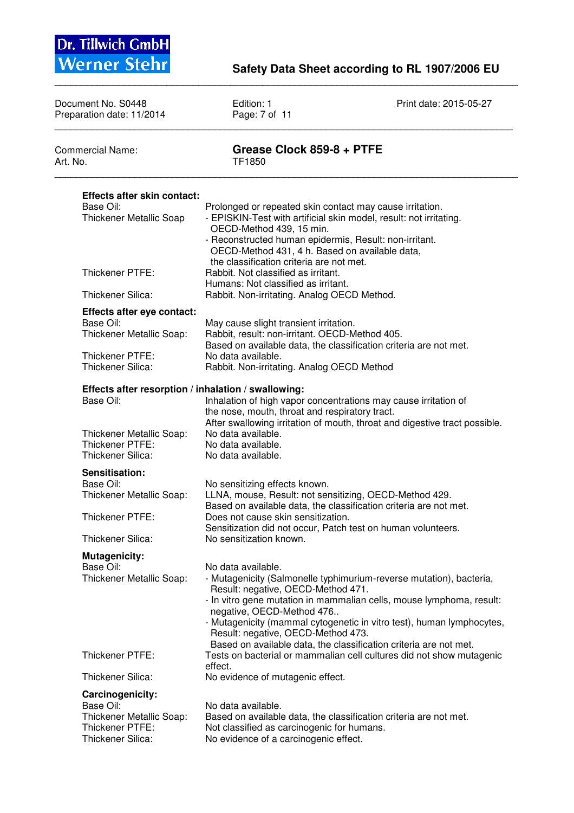

| Document No. S0448<br>Preparation date: 11/2014                                                             | Edition: 1<br>Page: 7 of 11                                                                                                                                                                                                                                            | Print date: 2015-05-27                                                                                                                                                                                                                                                                    |
|-------------------------------------------------------------------------------------------------------------|------------------------------------------------------------------------------------------------------------------------------------------------------------------------------------------------------------------------------------------------------------------------|-------------------------------------------------------------------------------------------------------------------------------------------------------------------------------------------------------------------------------------------------------------------------------------------|
| <b>Commercial Name:</b><br>Art. No.                                                                         | Grease Clock 859-8 + PTFE<br>TF1850                                                                                                                                                                                                                                    |                                                                                                                                                                                                                                                                                           |
| <b>Effects after skin contact:</b>                                                                          |                                                                                                                                                                                                                                                                        |                                                                                                                                                                                                                                                                                           |
| Base Oil:<br><b>Thickener Metallic Soap</b>                                                                 | Prolonged or repeated skin contact may cause irritation.<br>- EPISKIN-Test with artificial skin model, result: not irritating.<br>OECD-Method 439, 15 min.<br>- Reconstructed human epidermis, Result: non-irritant.<br>OECD-Method 431, 4 h. Based on available data, |                                                                                                                                                                                                                                                                                           |
| Thickener PTFE:                                                                                             | the classification criteria are not met.<br>Rabbit. Not classified as irritant.<br>Humans: Not classified as irritant.                                                                                                                                                 |                                                                                                                                                                                                                                                                                           |
| Thickener Silica:                                                                                           | Rabbit. Non-irritating. Analog OECD Method.                                                                                                                                                                                                                            |                                                                                                                                                                                                                                                                                           |
| Effects after eye contact:<br>Base Oil:<br>Thickener Metallic Soap:<br>Thickener PTFE:<br>Thickener Silica: | May cause slight transient irritation.<br>Rabbit, result: non-irritant. OECD-Method 405.<br>Based on available data, the classification criteria are not met.<br>No data available.<br>Rabbit. Non-irritating. Analog OECD Method                                      |                                                                                                                                                                                                                                                                                           |
| Effects after resorption / inhalation / swallowing:<br>Base Oil:                                            | Inhalation of high vapor concentrations may cause irritation of<br>the nose, mouth, throat and respiratory tract.                                                                                                                                                      | After swallowing irritation of mouth, throat and digestive tract possible.                                                                                                                                                                                                                |
| Thickener Metallic Soap:<br>Thickener PTFE:<br>Thickener Silica:                                            | No data available.<br>No data available.<br>No data available.                                                                                                                                                                                                         |                                                                                                                                                                                                                                                                                           |
| Sensitisation:<br>Base Oil:<br>Thickener Metallic Soap:                                                     | No sensitizing effects known.<br>LLNA, mouse, Result: not sensitizing, OECD-Method 429.                                                                                                                                                                                |                                                                                                                                                                                                                                                                                           |
| Thickener PTFE:                                                                                             | Based on available data, the classification criteria are not met.<br>Does not cause skin sensitization.<br>Sensitization did not occur, Patch test on human volunteers.                                                                                                |                                                                                                                                                                                                                                                                                           |
| Thickener Silica:                                                                                           | No sensitization known.                                                                                                                                                                                                                                                |                                                                                                                                                                                                                                                                                           |
| <b>Mutagenicity:</b><br>Base Oil:<br>Thickener Metallic Soap:                                               | No data available.<br>Result: negative, OECD-Method 471.<br>negative, OECD-Method 476<br>Result: negative, OECD-Method 473.                                                                                                                                            | - Mutagenicity (Salmonelle typhimurium-reverse mutation), bacteria,<br>- In vitro gene mutation in mammalian cells, mouse lymphoma, result:<br>- Mutagenicity (mammal cytogenetic in vitro test), human lymphocytes,<br>Based on available data, the classification criteria are not met. |
| Thickener PTFE:                                                                                             | effect.                                                                                                                                                                                                                                                                | Tests on bacterial or mammalian cell cultures did not show mutagenic                                                                                                                                                                                                                      |
| Thickener Silica:                                                                                           | No evidence of mutagenic effect.                                                                                                                                                                                                                                       |                                                                                                                                                                                                                                                                                           |
| Carcinogenicity:<br>Base Oil:<br>Thickener Metallic Soap:<br>Thickener PTFE:<br>Thickener Silica:           | No data available.<br>Based on available data, the classification criteria are not met.<br>Not classified as carcinogenic for humans.<br>No evidence of a carcinogenic effect.                                                                                         |                                                                                                                                                                                                                                                                                           |

\_\_\_\_\_\_\_\_\_\_\_\_\_\_\_\_\_\_\_\_\_\_\_\_\_\_\_\_\_\_\_\_\_\_\_\_\_\_\_\_\_\_\_\_\_\_\_\_\_\_\_\_\_\_\_\_\_\_\_\_\_\_\_\_\_\_\_\_\_\_\_\_\_\_\_\_\_\_\_\_\_\_\_\_\_\_\_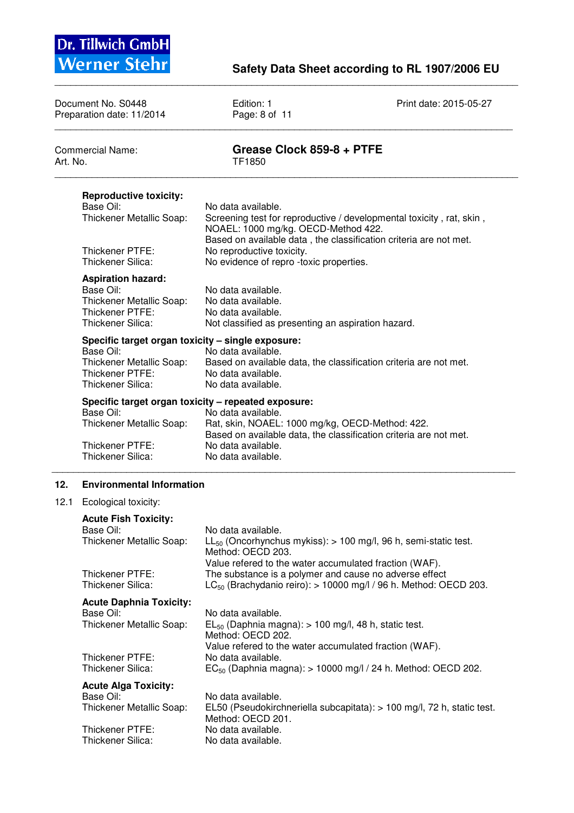

|          | Document No. S0448<br>Preparation date: 11/2014                                                                                      | Edition: 1<br>Page: 8 of 11                                                                                                                                                                                                                   | Print date: 2015-05-27                                                 |
|----------|--------------------------------------------------------------------------------------------------------------------------------------|-----------------------------------------------------------------------------------------------------------------------------------------------------------------------------------------------------------------------------------------------|------------------------------------------------------------------------|
| Art. No. | <b>Commercial Name:</b>                                                                                                              | Grease Clock 859-8 + PTFE<br>TF1850                                                                                                                                                                                                           |                                                                        |
|          | <b>Reproductive toxicity:</b><br>Base Oil:<br>Thickener Metallic Soap:<br>Thickener PTFE:<br>Thickener Silica:                       | No data available.<br>NOAEL: 1000 mg/kg. OECD-Method 422.<br>Based on available data, the classification criteria are not met.<br>No reproductive toxicity.<br>No evidence of repro -toxic properties.                                        | Screening test for reproductive / developmental toxicity, rat, skin,   |
|          | <b>Aspiration hazard:</b><br>Base Oil:<br>Thickener Metallic Soap:<br>Thickener PTFE:<br>Thickener Silica:                           | No data available.<br>No data available.<br>No data available.<br>Not classified as presenting an aspiration hazard.                                                                                                                          |                                                                        |
|          | Specific target organ toxicity - single exposure:<br>Base Oil:<br>Thickener Metallic Soap:<br>Thickener PTFE:<br>Thickener Silica:   | No data available.<br>Based on available data, the classification criteria are not met.<br>No data available.<br>No data available.                                                                                                           |                                                                        |
|          | Base Oil:<br>Thickener Metallic Soap:<br>Thickener PTFE:<br>Thickener Silica:                                                        | Specific target organ toxicity - repeated exposure:<br>No data available.<br>Rat, skin, NOAEL: 1000 mg/kg, OECD-Method: 422.<br>Based on available data, the classification criteria are not met.<br>No data available.<br>No data available. |                                                                        |
| 12.      | <b>Environmental Information</b>                                                                                                     |                                                                                                                                                                                                                                               |                                                                        |
| 12.1     | Ecological toxicity:<br><b>Acute Fish Toxicity:</b><br>Base Oil:<br>Thickener Metallic Soap:<br>Thickener PTFE:<br>Thickener Silica: | No data available.<br>$LL_{50}$ (Oncorhynchus mykiss): > 100 mg/l, 96 h, semi-static test.<br>Method: OECD 203.<br>Value refered to the water accumulated fraction (WAF).<br>The substance is a polymer and cause no adverse effect           | $LC_{50}$ (Brachydanio reiro): > 10000 mg/l / 96 h. Method: OECD 203.  |
|          | <b>Acute Daphnia Toxicity:</b><br>Base Oil:<br>Thickener Metallic Soap:<br>Thickener PTFE:<br>Thickener Silica:                      | No data available.<br>$EL_{50}$ (Daphnia magna): > 100 mg/l, 48 h, static test.<br>Method: OECD 202.<br>Value refered to the water accumulated fraction (WAF).<br>No data available.                                                          | $EC_{50}$ (Daphnia magna): > 10000 mg/l / 24 h. Method: OECD 202.      |
|          | <b>Acute Alga Toxicity:</b><br>Base Oil:<br>Thickener Metallic Soap:<br>Thickener PTFE:<br>Thickener Silica:                         | No data available.<br>Method: OECD 201.<br>No data available.<br>No data available.                                                                                                                                                           | EL50 (Pseudokirchneriella subcapitata): > 100 mg/l, 72 h, static test. |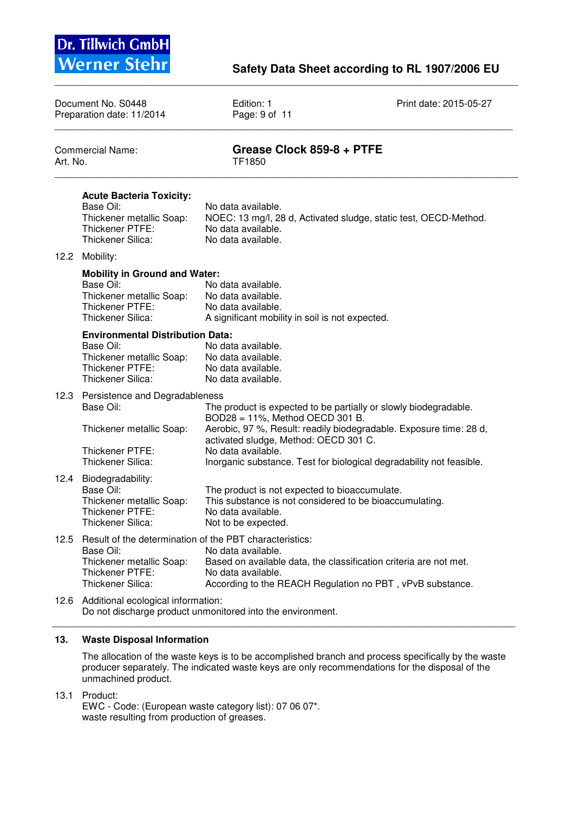

| Document No. S0448<br>Preparation date: 11/2014 |                                                                                                                                          | Edition: 1<br>Page: 9 of 11                                                                                                                           | Print date: 2015-05-27                                                                                                         |
|-------------------------------------------------|------------------------------------------------------------------------------------------------------------------------------------------|-------------------------------------------------------------------------------------------------------------------------------------------------------|--------------------------------------------------------------------------------------------------------------------------------|
| <b>Commercial Name:</b><br>Art. No.             |                                                                                                                                          | Grease Clock 859-8 + PTFE<br>TF1850                                                                                                                   |                                                                                                                                |
|                                                 | <b>Acute Bacteria Toxicity:</b><br>Base Oil:<br>Thickener metallic Soap:<br>Thickener PTFE:<br>Thickener Silica:                         | No data available.<br>No data available.<br>No data available.                                                                                        | NOEC: 13 mg/l, 28 d, Activated sludge, static test, OECD-Method.                                                               |
| 12.2                                            | Mobility:                                                                                                                                |                                                                                                                                                       |                                                                                                                                |
|                                                 | <b>Mobility in Ground and Water:</b><br>Base Oil:<br>Thickener metallic Soap:<br>Thickener PTFE:<br>Thickener Silica:                    | No data available.<br>No data available.<br>No data available.<br>A significant mobility in soil is not expected.                                     |                                                                                                                                |
|                                                 | <b>Environmental Distribution Data:</b><br>Base Oil:<br>Thickener metallic Soap:<br>Thickener PTFE:<br>Thickener Silica:                 | No data available.<br>No data available.<br>No data available.<br>No data available.                                                                  |                                                                                                                                |
| 12.3                                            | Persistence and Degradableness<br>Base Oil:                                                                                              | BOD28 = 11%, Method OECD 301 B.                                                                                                                       | The product is expected to be partially or slowly biodegradable.                                                               |
|                                                 | Thickener metallic Soap:                                                                                                                 | activated sludge, Method: OECD 301 C.                                                                                                                 | Aerobic, 97 %, Result: readily biodegradable. Exposure time: 28 d,                                                             |
|                                                 | Thickener PTFE:<br>Thickener Silica:                                                                                                     | No data available.                                                                                                                                    | Inorganic substance. Test for biological degradability not feasible.                                                           |
| 12.4                                            | Biodegradability:<br>Base Oil:<br>Thickener metallic Soap:<br>Thickener PTFE:<br>Thickener Silica:                                       | The product is not expected to bioaccumulate.<br>This substance is not considered to be bioaccumulating.<br>No data available.<br>Not to be expected. |                                                                                                                                |
| 12.5                                            | Result of the determination of the PBT characteristics:<br>Base Oil:<br>Thickener metallic Soap:<br>Thickener PTFE:<br>Thickener Silica: | No data available.<br>No data available.                                                                                                              | Based on available data, the classification criteria are not met.<br>According to the REACH Regulation no PBT, vPvB substance. |
| 12.6                                            | Additional ecological information:                                                                                                       | Do not discharge product unmonitored into the environment.                                                                                            |                                                                                                                                |

\_\_\_\_\_\_\_\_\_\_\_\_\_\_\_\_\_\_\_\_\_\_\_\_\_\_\_\_\_\_\_\_\_\_\_\_\_\_\_\_\_\_\_\_\_\_\_\_\_\_\_\_\_\_\_\_\_\_\_\_\_\_\_\_\_\_\_\_\_\_\_\_\_\_\_\_\_\_\_\_\_\_\_\_\_\_\_

#### \_\_\_\_\_\_\_\_\_\_\_\_\_\_\_\_\_\_\_\_\_\_\_\_\_\_\_\_\_\_\_\_\_\_\_\_\_\_\_\_\_\_\_\_\_\_\_\_\_\_\_\_\_\_\_\_\_\_\_\_\_\_\_\_\_\_\_\_\_\_\_\_\_\_\_\_\_\_\_\_\_\_\_\_\_\_\_

# **13. Waste Disposal Information**

The allocation of the waste keys is to be accomplished branch and process specifically by the waste producer separately. The indicated waste keys are only recommendations for the disposal of the unmachined product.

13.1 Product:

 EWC - Code: (European waste category list): 07 06 07\*. waste resulting from production of greases.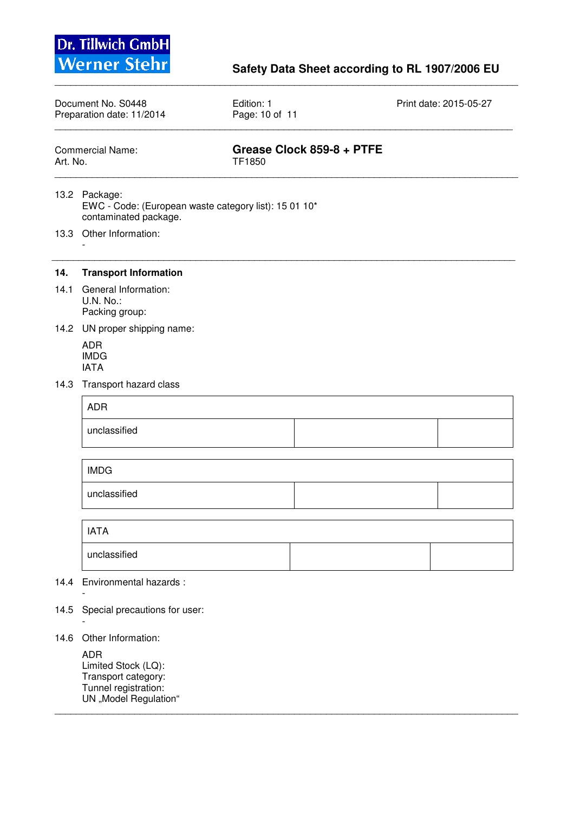

# **Werner Stehr** Safety Data Sheet according to RL 1907/2006 EU

| Document No. S0448        | Edition: 1     | Print date: 2015-05-27 |
|---------------------------|----------------|------------------------|
| Preparation date: 11/2014 | Page: 10 of 11 |                        |
|                           |                |                        |

\_\_\_\_\_\_\_\_\_\_\_\_\_\_\_\_\_\_\_\_\_\_\_\_\_\_\_\_\_\_\_\_\_\_\_\_\_\_\_\_\_\_\_\_\_\_\_\_\_\_\_\_\_\_\_\_\_\_\_\_\_\_\_\_\_\_\_\_\_\_\_\_\_\_\_\_\_\_\_\_\_\_\_\_\_\_\_

\_\_\_\_\_\_\_\_\_\_\_\_\_\_\_\_\_\_\_\_\_\_\_\_\_\_\_\_\_\_\_\_\_\_\_\_\_\_\_\_\_\_\_\_\_\_\_\_\_\_\_\_\_\_\_\_\_\_\_\_\_\_\_\_\_\_\_\_\_\_\_\_\_\_\_\_\_\_\_\_\_\_\_\_\_\_\_

\_\_\_\_\_\_\_\_\_\_\_\_\_\_\_\_\_\_\_\_\_\_\_\_\_\_\_\_\_\_\_\_\_\_\_\_\_\_\_\_\_\_\_\_\_\_\_\_\_\_\_\_\_\_\_\_\_\_\_\_\_\_\_\_\_\_\_\_\_\_\_\_\_\_\_\_\_\_\_\_\_\_\_\_\_\_\_

| Commercial Name: | Grease Clock 859-8 + PTFE |
|------------------|---------------------------|
| Art. No.         | TF1850                    |

- 13.2 Package: EWC - Code: (European waste category list): 15 01 10\* contaminated package.
- 13.3 Other Information:

-

#### **14. Transport Information**

- 14.1 General Information: U.N. No.: Packing group:
- 14.2 UN proper shipping name:
	- ADR IMDG IATA
- 14.3 Transport hazard class

| ADR          |  |
|--------------|--|
| unclassified |  |

| IMDG         |  |
|--------------|--|
| unclassified |  |

| <b>IATA</b>  |  |
|--------------|--|
| unclassified |  |

\_\_\_\_\_\_\_\_\_\_\_\_\_\_\_\_\_\_\_\_\_\_\_\_\_\_\_\_\_\_\_\_\_\_\_\_\_\_\_\_\_\_\_\_\_\_\_\_\_\_\_\_\_\_\_\_\_\_\_\_\_\_\_\_\_\_\_\_\_\_\_\_\_\_\_\_\_\_\_\_\_\_\_\_\_\_\_

- 14.4 Environmental hazards :
- 14.5 Special precautions for user:

### 14.6 Other Information:

-

-

 ADR Limited Stock (LQ): Transport category: Tunnel registration: UN "Model Regulation"